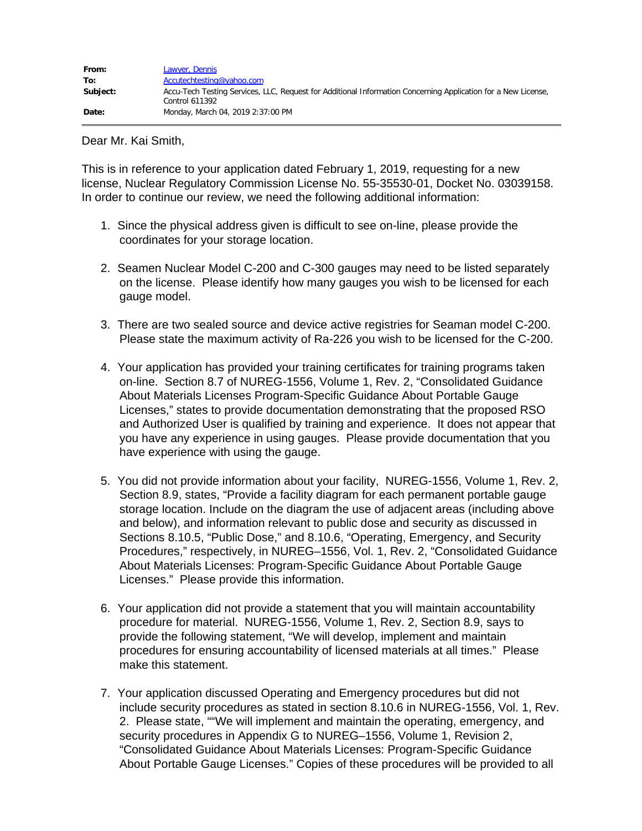Dear Mr. Kai Smith,

This is in reference to your application dated February 1, 2019, requesting for a new license, Nuclear Regulatory Commission License No. 55-35530-01, Docket No. 03039158. In order to continue our review, we need the following additional information:

- 1. Since the physical address given is difficult to see on-line, please provide the coordinates for your storage location.
- 2. Seamen Nuclear Model C-200 and C-300 gauges may need to be listed separately on the license. Please identify how many gauges you wish to be licensed for each gauge model.
- 3. There are two sealed source and device active registries for Seaman model C-200. Please state the maximum activity of Ra-226 you wish to be licensed for the C-200.
- 4. Your application has provided your training certificates for training programs taken on-line. Section 8.7 of NUREG-1556, Volume 1, Rev. 2, "Consolidated Guidance About Materials Licenses Program-Specific Guidance About Portable Gauge Licenses," states to provide documentation demonstrating that the proposed RSO and Authorized User is qualified by training and experience. It does not appear that you have any experience in using gauges. Please provide documentation that you have experience with using the gauge.
- 5. You did not provide information about your facility, NUREG-1556, Volume 1, Rev. 2, Section 8.9, states, "Provide a facility diagram for each permanent portable gauge storage location. Include on the diagram the use of adjacent areas (including above and below), and information relevant to public dose and security as discussed in Sections 8.10.5, "Public Dose," and 8.10.6, "Operating, Emergency, and Security Procedures," respectively, in NUREG–1556, Vol. 1, Rev. 2, "Consolidated Guidance About Materials Licenses: Program-Specific Guidance About Portable Gauge Licenses." Please provide this information.
- 6. Your application did not provide a statement that you will maintain accountability procedure for material. NUREG-1556, Volume 1, Rev. 2, Section 8.9, says to provide the following statement, "We will develop, implement and maintain procedures for ensuring accountability of licensed materials at all times." Please make this statement.
- 7. Your application discussed Operating and Emergency procedures but did not include security procedures as stated in section 8.10.6 in NUREG-1556, Vol. 1, Rev. 2. Please state, ""We will implement and maintain the operating, emergency, and security procedures in Appendix G to NUREG–1556, Volume 1, Revision 2, "Consolidated Guidance About Materials Licenses: Program-Specific Guidance About Portable Gauge Licenses." Copies of these procedures will be provided to all